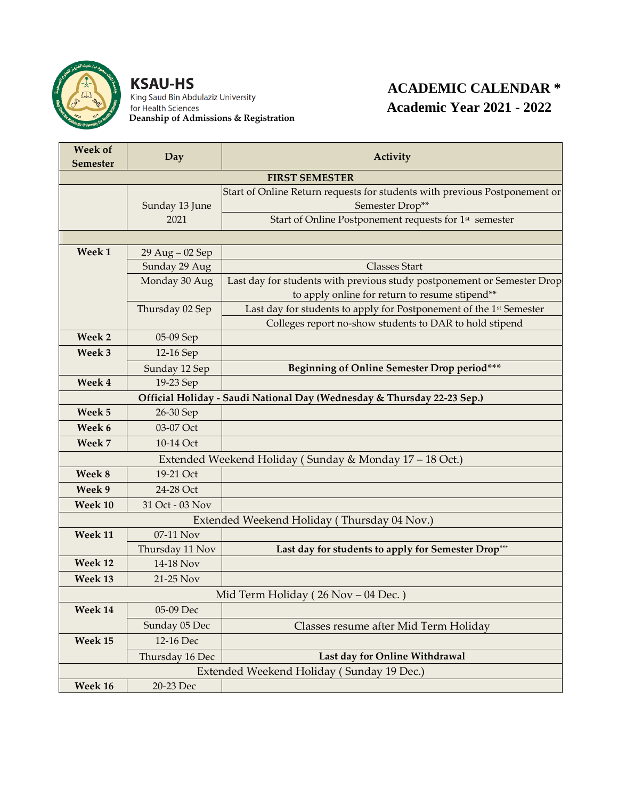

**KSAU-HS** 

King Saud Bin Abdulaziz University for Health Sciences  **Deanship of Admissions & Registration**

## **ACADEMIC CALENDAR \* Academic Year 2021 - 2022**

| <b>Week of</b><br><b>Semester</b>                                          | Day             | Activity                                                                        |  |  |
|----------------------------------------------------------------------------|-----------------|---------------------------------------------------------------------------------|--|--|
|                                                                            |                 | <b>FIRST SEMESTER</b>                                                           |  |  |
| Start of Online Return requests for students with previous Postponement or |                 |                                                                                 |  |  |
|                                                                            | Sunday 13 June  | Semester Drop**                                                                 |  |  |
|                                                                            | 2021            | Start of Online Postponement requests for 1 <sup>st</sup> semester              |  |  |
|                                                                            |                 |                                                                                 |  |  |
| Week 1                                                                     | 29 Aug - 02 Sep |                                                                                 |  |  |
|                                                                            | Sunday 29 Aug   | <b>Classes Start</b>                                                            |  |  |
|                                                                            | Monday 30 Aug   | Last day for students with previous study postponement or Semester Drop         |  |  |
|                                                                            |                 | to apply online for return to resume stipend**                                  |  |  |
|                                                                            | Thursday 02 Sep | Last day for students to apply for Postponement of the 1 <sup>st</sup> Semester |  |  |
|                                                                            |                 | Colleges report no-show students to DAR to hold stipend                         |  |  |
| Week 2                                                                     | 05-09 Sep       |                                                                                 |  |  |
| Week 3                                                                     | 12-16 Sep       |                                                                                 |  |  |
|                                                                            | Sunday 12 Sep   | Beginning of Online Semester Drop period***                                     |  |  |
| Week 4                                                                     | 19-23 Sep       |                                                                                 |  |  |
|                                                                            |                 | Official Holiday - Saudi National Day (Wednesday & Thursday 22-23 Sep.)         |  |  |
| Week 5                                                                     | 26-30 Sep       |                                                                                 |  |  |
| Week 6                                                                     | 03-07 Oct       |                                                                                 |  |  |
| Week 7                                                                     | 10-14 Oct       |                                                                                 |  |  |
| Extended Weekend Holiday (Sunday & Monday 17 - 18 Oct.)                    |                 |                                                                                 |  |  |
| Week 8                                                                     | 19-21 Oct       |                                                                                 |  |  |
| Week 9                                                                     | 24-28 Oct       |                                                                                 |  |  |
| Week 10                                                                    | 31 Oct - 03 Nov |                                                                                 |  |  |
| Extended Weekend Holiday (Thursday 04 Nov.)                                |                 |                                                                                 |  |  |
| Week 11                                                                    | 07-11 Nov       |                                                                                 |  |  |
|                                                                            | Thursday 11 Nov | Last day for students to apply for Semester Drop***                             |  |  |
| Week 12                                                                    | 14-18 Nov       |                                                                                 |  |  |
| Week 13                                                                    | 21-25 Nov       |                                                                                 |  |  |
|                                                                            |                 | Mid Term Holiday ( $26$ Nov – 04 Dec.)                                          |  |  |
| Week 14                                                                    | 05-09 Dec       |                                                                                 |  |  |
|                                                                            | Sunday 05 Dec   | Classes resume after Mid Term Holiday                                           |  |  |
| Week 15                                                                    | 12-16 Dec       |                                                                                 |  |  |
|                                                                            | Thursday 16 Dec | Last day for Online Withdrawal                                                  |  |  |
| Extended Weekend Holiday (Sunday 19 Dec.)                                  |                 |                                                                                 |  |  |
| Week 16                                                                    | 20-23 Dec       |                                                                                 |  |  |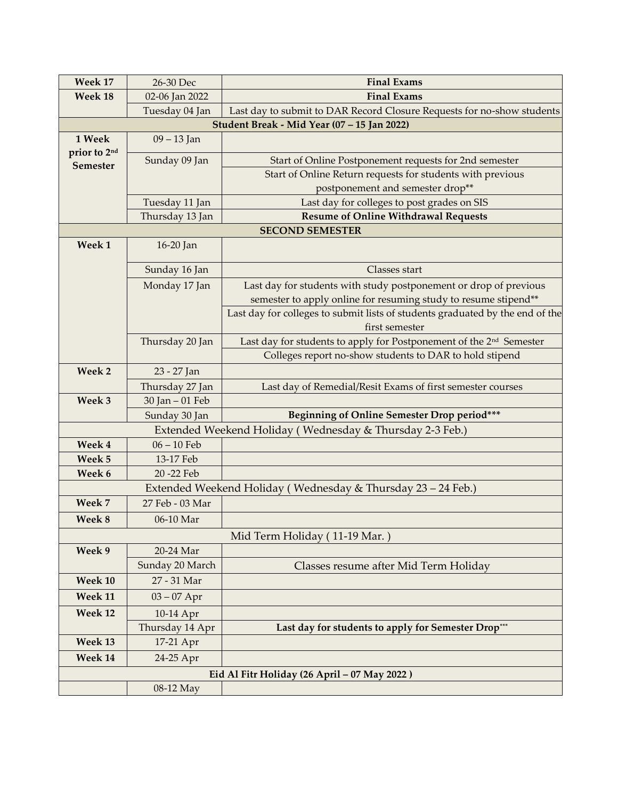| Week 17                                                      | 26-30 Dec       | <b>Final Exams</b>                                                              |  |  |  |
|--------------------------------------------------------------|-----------------|---------------------------------------------------------------------------------|--|--|--|
| Week 18                                                      | 02-06 Jan 2022  | <b>Final Exams</b>                                                              |  |  |  |
|                                                              | Tuesday 04 Jan  | Last day to submit to DAR Record Closure Requests for no-show students          |  |  |  |
| Student Break - Mid Year (07 - 15 Jan 2022)                  |                 |                                                                                 |  |  |  |
| 1 Week                                                       | 09 - 13 Jan     |                                                                                 |  |  |  |
| prior to 2nd<br>Semester                                     | Sunday 09 Jan   | Start of Online Postponement requests for 2nd semester                          |  |  |  |
|                                                              |                 | Start of Online Return requests for students with previous                      |  |  |  |
|                                                              |                 | postponement and semester drop**                                                |  |  |  |
|                                                              | Tuesday 11 Jan  | Last day for colleges to post grades on SIS                                     |  |  |  |
|                                                              | Thursday 13 Jan | <b>Resume of Online Withdrawal Requests</b>                                     |  |  |  |
| <b>SECOND SEMESTER</b>                                       |                 |                                                                                 |  |  |  |
| Week 1                                                       | 16-20 Jan       |                                                                                 |  |  |  |
|                                                              | Sunday 16 Jan   | Classes start                                                                   |  |  |  |
|                                                              | Monday 17 Jan   | Last day for students with study postponement or drop of previous               |  |  |  |
|                                                              |                 | semester to apply online for resuming study to resume stipend**                 |  |  |  |
|                                                              |                 | Last day for colleges to submit lists of students graduated by the end of the   |  |  |  |
|                                                              |                 | first semester                                                                  |  |  |  |
|                                                              | Thursday 20 Jan | Last day for students to apply for Postponement of the 2 <sup>nd</sup> Semester |  |  |  |
|                                                              |                 | Colleges report no-show students to DAR to hold stipend                         |  |  |  |
| Week 2                                                       | 23 - 27 Jan     |                                                                                 |  |  |  |
|                                                              | Thursday 27 Jan | Last day of Remedial/Resit Exams of first semester courses                      |  |  |  |
| Week 3                                                       | 30 Jan - 01 Feb |                                                                                 |  |  |  |
|                                                              | Sunday 30 Jan   | Beginning of Online Semester Drop period***                                     |  |  |  |
| Extended Weekend Holiday (Wednesday & Thursday 2-3 Feb.)     |                 |                                                                                 |  |  |  |
| Week 4                                                       | $06 - 10$ Feb   |                                                                                 |  |  |  |
| Week 5                                                       | 13-17 Feb       |                                                                                 |  |  |  |
| Week 6                                                       | 20 - 22 Feb     |                                                                                 |  |  |  |
| Extended Weekend Holiday (Wednesday & Thursday 23 - 24 Feb.) |                 |                                                                                 |  |  |  |
| Week 7                                                       | 27 Feb - 03 Mar |                                                                                 |  |  |  |
| Week 8                                                       | 06-10 Mar       |                                                                                 |  |  |  |
|                                                              |                 | Mid Term Holiday (11-19 Mar.)                                                   |  |  |  |
| Week 9                                                       | 20-24 Mar       |                                                                                 |  |  |  |
|                                                              | Sunday 20 March | Classes resume after Mid Term Holiday                                           |  |  |  |
| Week 10                                                      | 27 - 31 Mar     |                                                                                 |  |  |  |
| Week 11                                                      | $03 - 07$ Apr   |                                                                                 |  |  |  |
| Week 12                                                      | 10-14 Apr       |                                                                                 |  |  |  |
|                                                              | Thursday 14 Apr | Last day for students to apply for Semester Drop***                             |  |  |  |
| Week 13                                                      | 17-21 Apr       |                                                                                 |  |  |  |
| Week 14                                                      | 24-25 Apr       |                                                                                 |  |  |  |
| Eid Al Fitr Holiday (26 April - 07 May 2022)                 |                 |                                                                                 |  |  |  |
|                                                              | 08-12 May       |                                                                                 |  |  |  |